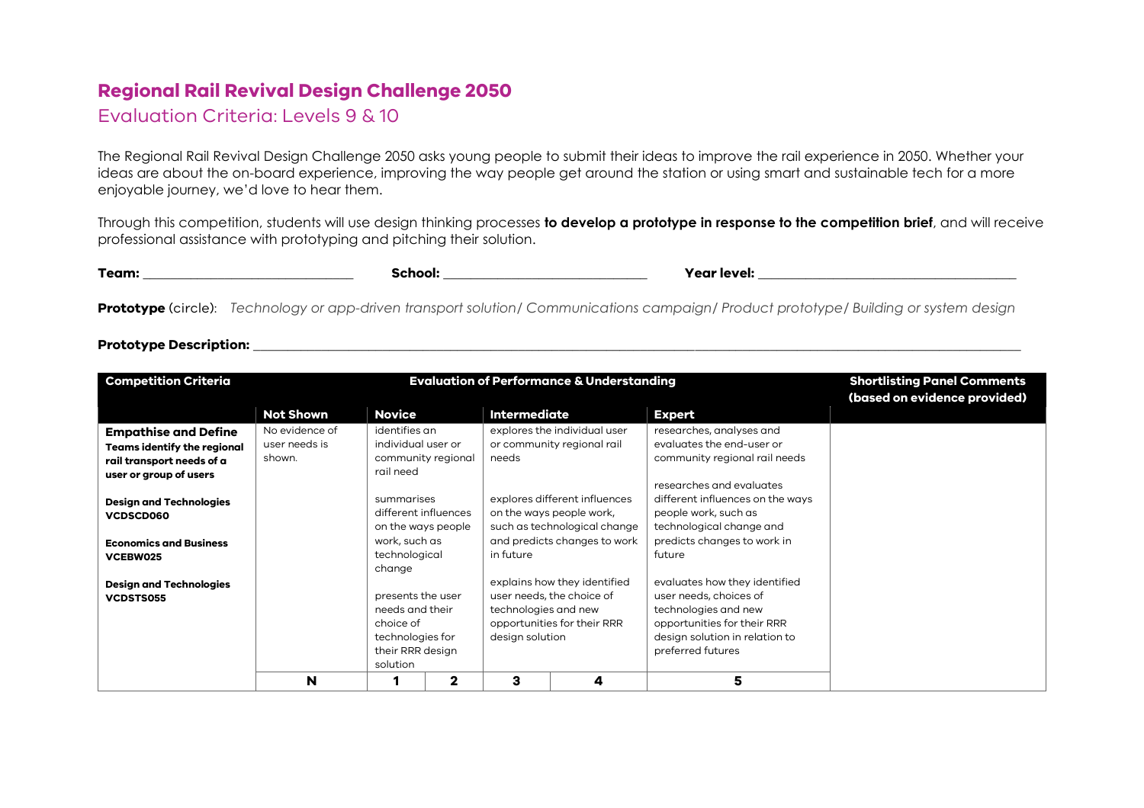## **Regional Rail Revival Design Challenge 2050**

## Evaluation Criteria: Levels 9 & 10

The Regional Rail Revival Design Challenge 2050 asks young people to submit their ideas to improve the rail experience in 2050. Whether your ideas are about the on-board experience, improving the way people get around the station or using smart and sustainable tech for a more enjoyable journey, we'd love to hear them.

Through this competition, students will use design thinking processes **to develop a prototype in response to the competition brief**, and will receive professional assistance with prototyping and pitching their solution.

| Team: | ehool: "<br>50. | Year level: |
|-------|-----------------|-------------|
|       |                 |             |

**Prototype** (circle): *Technology or app-driven transport solution/ Communications campaign/ Product prototype/ Building or system design*

## **Prototype Description: \_\_\_\_\_\_\_\_\_\_\_\_\_\_\_\_\_\_\_\_\_\_\_\_\_\_\_\_\_\_\_\_\_\_\_\_\_\_\_\_\_\_\_\_\_\_\_\_\_\_\_\_\_\_\_\_\_\_\_\_\_\_\_\_\_\_\_\_\_\_\_\_\_\_\_\_\_\_\_\_\_\_\_\_\_\_\_\_\_\_\_\_\_\_\_\_\_\_\_\_\_\_\_\_\_\_\_\_\_\_\_\_\_**

| <b>Competition Criteria</b>                                     |                         |                                                          |                                     | <b>Evaluation of Performance &amp; Understanding</b> | <b>Shortlisting Panel Comments</b><br>(based on evidence provided) |                                                              |  |
|-----------------------------------------------------------------|-------------------------|----------------------------------------------------------|-------------------------------------|------------------------------------------------------|--------------------------------------------------------------------|--------------------------------------------------------------|--|
|                                                                 | <b>Not Shown</b>        | <b>Novice</b>                                            |                                     | <b>Intermediate</b>                                  |                                                                    | <b>Expert</b>                                                |  |
| <b>Empathise and Define</b>                                     | No evidence of          |                                                          | identifies an<br>individual user or |                                                      | explores the individual user                                       | researches, analyses and                                     |  |
| <b>Teams identify the regional</b><br>rail transport needs of a | user needs is<br>shown. | community regional<br>rail need                          |                                     | needs                                                | or community regional rail                                         | evaluates the end-user or<br>community regional rail needs   |  |
| user or group of users                                          |                         |                                                          |                                     |                                                      | explores different influences                                      | researches and evaluates<br>different influences on the ways |  |
| <b>Design and Technologies</b><br>VCDSCD060                     |                         | summarises<br>different influences<br>on the ways people |                                     |                                                      | on the ways people work,<br>such as technological change           | people work, such as<br>technological change and             |  |
| <b>Economics and Business</b><br>VCEBW025                       |                         | work, such as<br>technological                           |                                     | and predicts changes to work<br>in future            |                                                                    | predicts changes to work in<br>future                        |  |
| <b>Design and Technologies</b><br><b>VCDSTS055</b>              |                         | change<br>presents the user                              |                                     |                                                      | explains how they identified<br>user needs, the choice of          | evaluates how they identified<br>user needs, choices of      |  |
|                                                                 |                         | needs and their<br>choice of                             |                                     | technologies and new                                 | opportunities for their RRR                                        | technologies and new<br>opportunities for their RRR          |  |
|                                                                 |                         | technologies for<br>their RRR design<br>solution         |                                     | design solution                                      |                                                                    | design solution in relation to<br>preferred futures          |  |
|                                                                 | N                       |                                                          | $\mathbf{2}$                        | з                                                    | 4                                                                  | 5                                                            |  |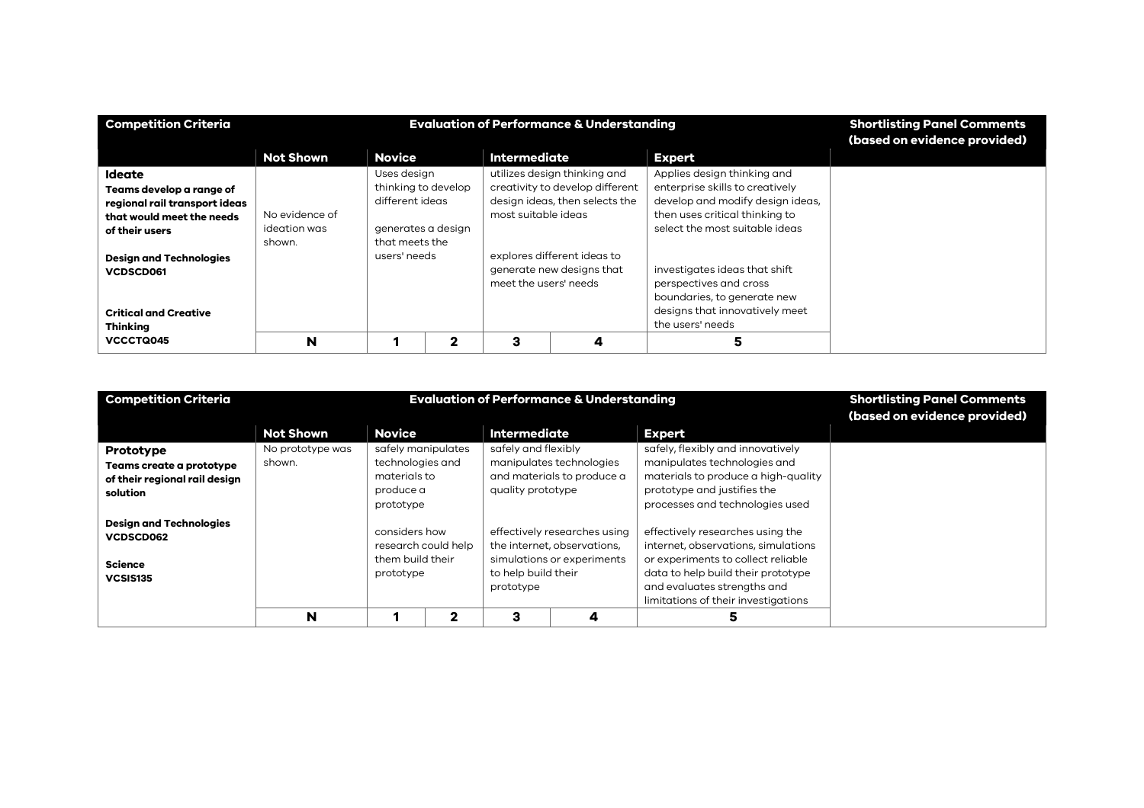| <b>Competition Criteria</b>                                                                                        |                                          |                                                                                               | <b>Evaluation of Performance &amp; Understanding</b> | <b>Shortlisting Panel Comments</b><br>(based on evidence provided)                |                                                                                                   |                                                                                                                                                                        |  |
|--------------------------------------------------------------------------------------------------------------------|------------------------------------------|-----------------------------------------------------------------------------------------------|------------------------------------------------------|-----------------------------------------------------------------------------------|---------------------------------------------------------------------------------------------------|------------------------------------------------------------------------------------------------------------------------------------------------------------------------|--|
|                                                                                                                    | Not Shown                                | <b>Novice</b>                                                                                 |                                                      | <b>Intermediate</b>                                                               |                                                                                                   | <b>Expert</b>                                                                                                                                                          |  |
| Ideate<br>Teams develop a range of<br>regional rail transport ideas<br>that would meet the needs<br>of their users | No evidence of<br>ideation was<br>shown. | Uses design<br>thinking to develop<br>different ideas<br>generates a design<br>that meets the |                                                      | most suitable ideas                                                               | utilizes design thinking and<br>creativity to develop different<br>design ideas, then selects the | Applies design thinking and<br>enterprise skills to creatively<br>develop and modify design ideas,<br>then uses critical thinking to<br>select the most suitable ideas |  |
| <b>Design and Technologies</b><br>VCDSCD061<br><b>Critical and Creative</b><br><b>Thinking</b>                     |                                          | users' needs                                                                                  |                                                      | explores different ideas to<br>generate new designs that<br>meet the users' needs |                                                                                                   | investigates ideas that shift<br>perspectives and cross<br>boundaries, to generate new<br>designs that innovatively meet<br>the users' needs                           |  |
| VCCCTQ045                                                                                                          | N                                        |                                                                                               | 2                                                    | 3                                                                                 | 4                                                                                                 | 5                                                                                                                                                                      |  |

| <b>Competition Criteria</b>                                                      |                  | <b>Shortlisting Panel Comments</b><br>(based on evidence provided)    |   |                                                                                                                                                              |                                                        |                                                                                                                                                                                            |  |
|----------------------------------------------------------------------------------|------------------|-----------------------------------------------------------------------|---|--------------------------------------------------------------------------------------------------------------------------------------------------------------|--------------------------------------------------------|--------------------------------------------------------------------------------------------------------------------------------------------------------------------------------------------|--|
|                                                                                  | <b>Not Shown</b> | <b>Novice</b>                                                         |   | <b>Intermediate</b>                                                                                                                                          |                                                        | <b>Expert</b>                                                                                                                                                                              |  |
| Prototype                                                                        | No prototype was | safely manipulates                                                    |   | safely and flexibly                                                                                                                                          |                                                        | safely, flexibly and innovatively                                                                                                                                                          |  |
| Teams create a prototype<br>of their regional rail design<br>solution            | shown.           | technologies and<br>materials to<br>produce a<br>prototype            |   | quality prototype                                                                                                                                            | manipulates technologies<br>and materials to produce a | manipulates technologies and<br>materials to produce a high-quality<br>prototype and justifies the<br>processes and technologies used                                                      |  |
| <b>Design and Technologies</b><br>VCDSCD062<br><b>Science</b><br><b>VCSIS135</b> |                  | considers how<br>research could help<br>them build their<br>prototype |   | effectively researches using<br>the internet, observations,<br>simulations or experiments<br>to help build their<br>and evaluates strengths and<br>prototype |                                                        | effectively researches using the<br>internet, observations, simulations<br>or experiments to collect reliable<br>data to help build their prototype<br>limitations of their investigations |  |
|                                                                                  | N                |                                                                       | 2 | з                                                                                                                                                            |                                                        | 5                                                                                                                                                                                          |  |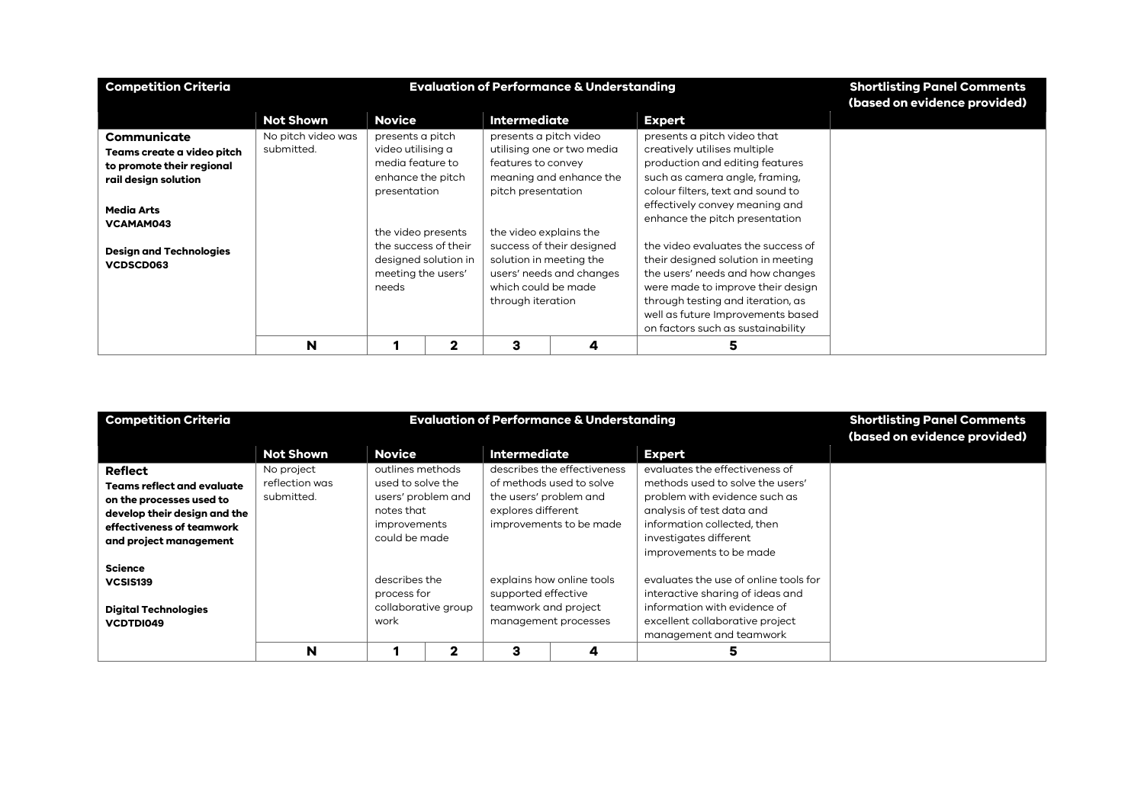| <b>Competition Criteria</b>                             |                    |                                            | <b>Evaluation of Performance &amp; Understanding</b> | <b>Shortlisting Panel Comments</b><br>(based on evidence provided) |                            |                                                                                                             |  |
|---------------------------------------------------------|--------------------|--------------------------------------------|------------------------------------------------------|--------------------------------------------------------------------|----------------------------|-------------------------------------------------------------------------------------------------------------|--|
|                                                         | <b>Not Shown</b>   | <b>Novice</b>                              |                                                      | <b>Intermediate</b>                                                |                            | <b>Expert</b>                                                                                               |  |
| Communicate                                             | No pitch video was | presents a pitch                           |                                                      | presents a pitch video                                             |                            | presents a pitch video that                                                                                 |  |
| Teams create a video pitch<br>to promote their regional | submitted.         | video utilising a<br>media feature to      |                                                      | features to convey                                                 | utilising one or two media | creatively utilises multiple<br>production and editing features                                             |  |
| rail design solution                                    |                    | enhance the pitch<br>presentation          |                                                      | pitch presentation                                                 | meaning and enhance the    | such as camera angle, framing,<br>colour filters, text and sound to                                         |  |
| <b>Media Arts</b><br>VCAMAM043                          |                    |                                            |                                                      |                                                                    |                            | effectively convey meaning and<br>enhance the pitch presentation                                            |  |
| <b>Design and Technologies</b>                          |                    | the video presents<br>the success of their |                                                      | the video explains the                                             | success of their designed  | the video evaluates the success of                                                                          |  |
| VCDSCD063                                               |                    | meeting the users'                         | designed solution in                                 | solution in meeting the                                            | users' needs and changes   | their designed solution in meeting<br>the users' needs and how changes                                      |  |
|                                                         |                    | needs                                      |                                                      | which could be made<br>through iteration                           |                            | were made to improve their design<br>through testing and iteration, as<br>well as future Improvements based |  |
|                                                         |                    |                                            |                                                      |                                                                    |                            | on factors such as sustainability                                                                           |  |
|                                                         | N                  |                                            | 2                                                    | з                                                                  | 4                          | 5                                                                                                           |  |

| <b>Competition Criteria</b>  |                  | <b>Evaluation of Performance &amp; Understanding</b> | <b>Shortlisting Panel Comments</b><br>(based on evidence provided) |                                             |                             |                                                                  |  |
|------------------------------|------------------|------------------------------------------------------|--------------------------------------------------------------------|---------------------------------------------|-----------------------------|------------------------------------------------------------------|--|
|                              | <b>Not Shown</b> | <b>Novice</b>                                        |                                                                    | <b>Intermediate</b>                         |                             | <b>Expert</b>                                                    |  |
| <b>Reflect</b>               | No project       | outlines methods                                     |                                                                    |                                             | describes the effectiveness | evaluates the effectiveness of                                   |  |
| Teams reflect and evaluate   | reflection was   | used to solve the                                    |                                                                    |                                             | of methods used to solve    | methods used to solve the users'                                 |  |
| on the processes used to     | submitted.       |                                                      | users' problem and                                                 | the users' problem and                      |                             | problem with evidence such as                                    |  |
| develop their design and the |                  | notes that                                           |                                                                    | explores different                          |                             | analysis of test data and                                        |  |
| effectiveness of teamwork    |                  | improvements                                         |                                                                    |                                             | improvements to be made     | information collected, then                                      |  |
| and project management       |                  | could be made                                        |                                                                    |                                             |                             | investigates different                                           |  |
|                              |                  |                                                      |                                                                    |                                             |                             | improvements to be made                                          |  |
| <b>Science</b>               |                  |                                                      |                                                                    |                                             |                             |                                                                  |  |
| VCSIS139                     |                  | describes the                                        |                                                                    |                                             | explains how online tools   | evaluates the use of online tools for                            |  |
|                              |                  | process for                                          | collaborative group                                                | supported effective<br>teamwork and project |                             | interactive sharing of ideas and<br>information with evidence of |  |
| <b>Digital Technologies</b>  |                  | work                                                 |                                                                    |                                             | management processes        | excellent collaborative project                                  |  |
| VCDTDI049                    |                  |                                                      |                                                                    |                                             |                             | management and teamwork                                          |  |
|                              | N                |                                                      | $\mathbf{2}$                                                       | з                                           |                             |                                                                  |  |